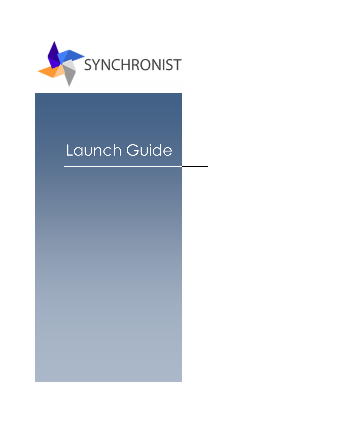

## Launch Guide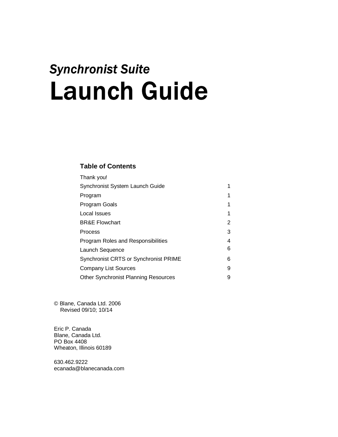# **Synchronist Suite Launch Guide**

## **Table of Contents**

| Thank you!                                  |   |
|---------------------------------------------|---|
| Synchronist System Launch Guide             | 1 |
| Program                                     |   |
| Program Goals                               | 1 |
| Local Issues                                | 1 |
| <b>BR&amp;E Flowchart</b>                   | 2 |
| Process                                     | 3 |
| Program Roles and Responsibilities          | 4 |
| Launch Sequence                             | 6 |
| Synchronist CRTS or Synchronist PRIME       | 6 |
| <b>Company List Sources</b>                 | 9 |
| <b>Other Synchronist Planning Resources</b> | 9 |

© Blane, Canada Ltd. 2006 Revised 09/10; 10/14

Eric P. Canada Blane, Canada Ltd. PO Box 4408 Wheaton, Illinois 60189

630.462.9222 ecanada@blanecanada.com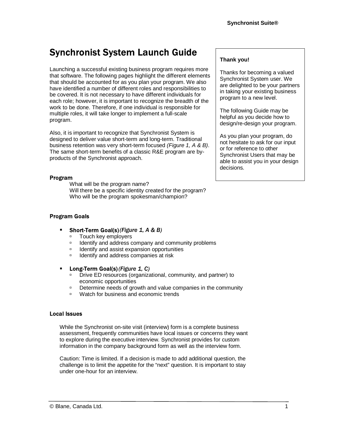## **Synchronist System Launch Guide**

Launching a successful existing business program requires more that software. The following pages highlight the different elements that should be accounted for as you plan your program. We also have identified a number of different roles and responsibilities to be covered. It is not necessary to have different individuals for each role; however, it is important to recognize the breadth of the work to be done. Therefore, if one individual is responsible for multiple roles, it will take longer to implement a full-scale program.

Also, it is important to recognize that Synchronist System is designed to deliver value short-term and long-term. Traditional business retention was very short-term focused (Figure 1, A & B). The same short-term benefits of a classic R&E program are byproducts of the Synchronist approach.

## Program

What will be the program name? Will there be a specific identity created for the program? Who will be the program spokesman/champion?

## **Program Goals**

- Short-Term Goal(s) (Figure 1, A & B)
	- **DEDUCALLEY EMPLOYERS**
	- <sup>o</sup> Identify and address company and community problems
	- □ Identify and assist expansion opportunities
	- □ Identify and address companies at risk
- **E** Long-Term Goal(s) (Figure 1, C)
	- □ Drive ED resources (organizational, community, and partner) to economic opportunities
	- □ Determine needs of growth and value companies in the community
	- *III* Watch for business and economic trends

## **Local Issues**

While the Synchronist on-site visit (interview) form is a complete business assessment, frequently communities have local issues or concerns they want to explore during the executive interview. Synchronist provides for custom information in the company background form as well as the interview form.

Caution: Time is limited. If a decision is made to add additional question, the challenge is to limit the appetite for the "next" question. It is important to stay under one-hour for an interview.

## **Thank you!**

Thanks for becoming a valued Synchronist System user. We are delighted to be your partners in taking your existing business program to a new level.

The following Guide may be helpful as you decide how to design/re-design your program.

As you plan your program, do not hesitate to ask for our input or for reference to other Synchronist Users that may be able to assist you in your design decisions.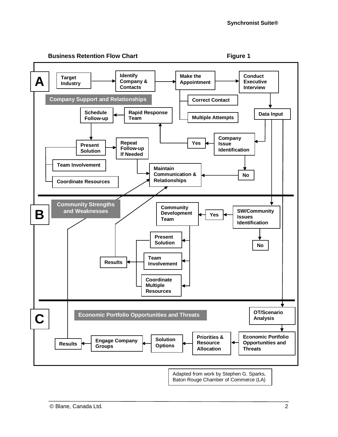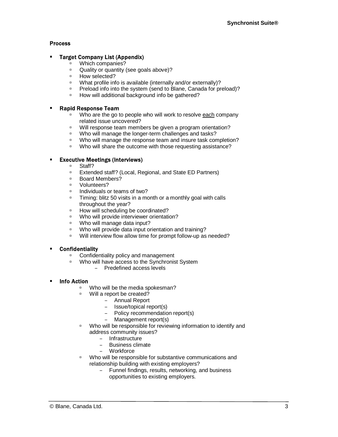## **Process**

#### � **Target Company List (Appendix)**

- *D* Which companies?
- □ Quality or quantity (see goals above)?
- □ How selected?
- □ What profile info is available (internally and/or externally)?
- □ Preload info into the system (send to Blane, Canada for preload)?
- □ How will additional background info be gathered?

#### � **Rapid Response Team**

- □ Who are the go to people who will work to resolve each company related issue uncovered?
- **Will response team members be given a program orientation?**<br> **Who will manage the longer-term challenges and tasks?**
- Who will manage the longer-term challenges and tasks?
- □ Who will manage the response team and insure task completion?
- □ Who will share the outcome with those requesting assistance?

#### � **Executive Meetings (Interviews)**

- Staff?
- **Extended staff? (Local, Regional, and State ED Partners)**<br>**Board Mombors?**
- Board Members?
- **<sup>□</sup>** Volunteers?
- □ Individuals or teams of two?
- **Example 1** Timing: blitz 50 visits in a month or a monthly goal with calls throughout the year?
- □ How will scheduling be coordinated?
- Who will provide interviewer orientation?
- □ Who will manage data input?
- □ Who will provide data input orientation and training?
- <sup>o</sup> Will interview flow allow time for prompt follow-up as needed?

#### **Confidentiality** �

- □ Confidentiality policy and management
- □ Who will have access to the Synchronist System
	- Predefined access levels
- � **Info Action** 
	- □ Who will be the media spokesman?
	- □ Will a report be created?
		- Annual Report
		- Issue/topical report(s)
		- Policy recommendation report(s)
		- Management report(s)
	- □ Who will be responsible for reviewing information to identify and address community issues?
		- Infrastructure
		- Business climate
		- Workforce
	- □ Who will be responsible for substantive communications and relationship building with existing employers?
		- Funnel findings, results, networking, and business opportunities to existing employers.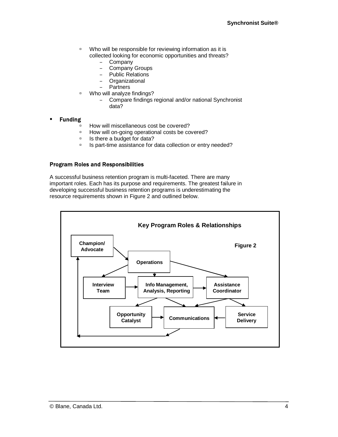- □ Who will be responsible for reviewing information as it is collected looking for economic opportunities and threats?
	- Company
	- Company Groups
	- Public Relations
	- Organizational
	- Partners
- <sup>o</sup> Who will analyze findings?
	- Compare findings regional and/or national Synchronist data?

#### � **Funding**

- **EXECUTE:** How will miscellaneous cost be covered?
- □ How will on-going operational costs be covered?
- □ Is there a budget for data?
- □ Is part-time assistance for data collection or entry needed?

#### **Program Roles and Responsibilities**

A successful business retention program is multi-faceted. There are many important roles. Each has its purpose and requirements. The greatest failure in developing successful business retention programs is underestimating the resource requirements shown in Figure 2 and outlined below.

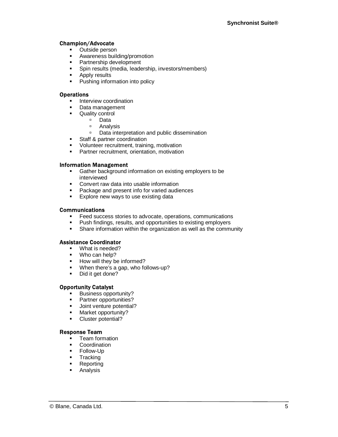## **Champion/Advocate**

- **•** Outside person
- **•** Awareness building/promotion
- **•** Partnership development
- **•** Spin results (media, leadership, investors/members)
- **Apply results**
- Pushing information into policy

## **Operations**

- **•** Interview coordination
- Data management
- **•** Quality control
	- � Data
	- <sup>□</sup> Analysis
	- □ Data interpretation and public dissemination
- **Staff & partner coordination**
- Volunteer recruitment, training, motivation
- **•** Partner recruitment, orientation, motivation

## **Information Management**

- **Gather background information on existing employers to be** interviewed
- **•** Convert raw data into usable information
- Package and present info for varied audiences
- **Explore new ways to use existing data**

#### **Communications**

- Feed success stories to advocate, operations, communications
- **•** Push findings, results, and opportunities to existing employers
- **•** Share information within the organization as well as the community

## **Assistance Coordinator**

- What is needed?
- Who can help?
- **•** How will they be informed?
- When there's a gap, who follows-up?
- Did it get done?

## **Opportunity Catalyst**

- **Business opportunity?**
- **•** Partner opportunities?
- **•** Joint venture potential?
- **•** Market opportunity?
- Cluster potential?

## **Response Team**

- � Team formation
- Coordination
- **•** Follow-Up
- **Tracking**
- Reporting
- **Analysis**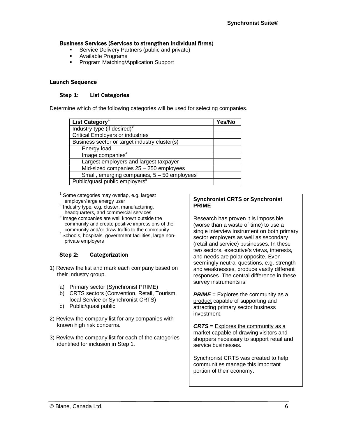## **Business Services (Services to strengthen individual firms)**

- **Service Delivery Partners (public and private)**
- � Available Programs
- **Program Matching/Application Support**

## **Launch Sequence**

#### Step 1: **List Categories**

Determine which of the following categories will be used for selecting companies.

| List Category <sup>1</sup>                    | Yes/No |
|-----------------------------------------------|--------|
| Industry type (if desired) <sup>3</sup>       |        |
| <b>Critical Employers or industries</b>       |        |
| Business sector or target industry cluster(s) |        |
| Energy load                                   |        |
| Image companies <sup>4</sup>                  |        |
| Largest employers and largest taxpayer        |        |
| Mid-sized companies $25 - 250$ employees      |        |
| Small, emerging companies, $5 - 50$ employees |        |
| Public/quasi public employers <sup>5</sup>    |        |

 $1$  Some categories may overlap, e.g. largest

- employer/large energy user<br><sup>2</sup> Industry type, e.g. cluster, manufacturing, headquarters, and commercial services
- <sup>3</sup> Image companies are well known outside the community and create positive impressions of the
- community and/or draw traffic to the community<br><sup>4</sup> Schools, hospitals, government facilities, large nonprivate employers

#### Step 2: **Categorization**

- 1) Review the list and mark each company based on their industry group.
	- a) Primary sector (Synchronist PRIME)
	- b) CRTS sectors (Convention, Retail, Tourism, local Service or Synchronist CRTS)
	- c) Public/quasi public
- 2) Review the company list for any companies with known high risk concerns.
- 3) Review the company list for each of the categories identified for inclusion in Step 1.

## **Synchronist CRTS or Synchronist PRIME**

Research has proven it is impossible (worse than a waste of time) to use a single interview instrument on both primary sector employers as well as secondary (retail and service) businesses. In these two sectors, executive's views, interests, and needs are polar opposite. Even seemingly neutral questions, e.g. strength and weaknesses, produce vastly different responses. The central difference in these survey instruments is:

**PRIME** = Explores the community as a product capable of supporting and attracting primary sector business investment.

**CRTS** = Explores the community as a market capable of drawing visitors and shoppers necessary to support retail and service businesses.

Synchronist CRTS was created to help communities manage this important portion of their economy.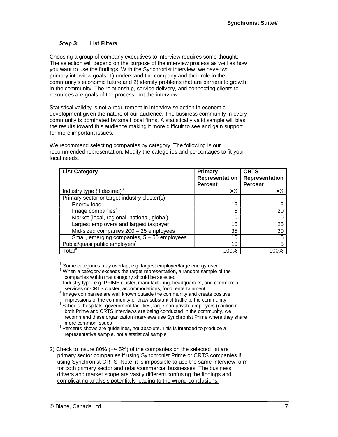#### Step 3: **List Filters**

Choosing a group of company executives to interview requires some thought. The selection will depend on the purpose of the interview process as well as how you want to use the findings. With the Synchronist interview, we have two primary interview goals: 1) understand the company and their role in the community's economic future and 2) identify problems that are barriers to growth in the community. The relationship, service delivery, and connecting clients to resources are goals of the process, not the interview.

Statistical validity is not a requirement in interview selection in economic development given the nature of our audience. The business community in every community is dominated by small local firms. A statistically valid sample will bias the results toward this audience making it more difficult to see and gain support for more important issues.

We recommend selecting companies by category. The following is our recommended representation. Modify the categories and percentages to fit your local needs.

| <b>List Category</b>                          | Primary<br>Representation<br><b>Percent</b> | <b>CRTS</b><br><b>Representation</b><br><b>Percent</b> |
|-----------------------------------------------|---------------------------------------------|--------------------------------------------------------|
| Industry type (if desired) <sup>3</sup>       | XX                                          | XX                                                     |
| Primary sector or target industry cluster(s)  |                                             |                                                        |
| Energy load                                   | 15                                          | 5                                                      |
| Image companies <sup>4</sup>                  | 5                                           | 20                                                     |
| Market (local, regional, national, global)    | 10                                          |                                                        |
| Largest employers and largest taxpayer        | 15                                          | 25                                                     |
| Mid-sized companies $200 - 25$ employees      | 35                                          | 30                                                     |
| Small, emerging companies, $5 - 50$ employees | 10                                          | 15                                                     |
| Public/quasi public employers <sup>5</sup>    | 10                                          | 5                                                      |
| Total <sup>6</sup>                            | 100%                                        | 100%                                                   |

<sup>1</sup> Some categories may overlap, e.g. largest employer/large energy user  $\frac{2 \text{ M}}{2 \text{ M}}$ 

- $\frac{2}{3}$  When a category exceeds the target representation, a random sample of the companies within that category should be selected
- companies within that category should be selected<br><sup>3</sup> Industry type, e.g. PRIME cluster, manufacturing, headquarters, and commercial services or CRTS cluster, accommodations, food, entertainment
- $4 \text{ Image}$  companies are well known outside the community and create positive impressions of the community or draw substantial traffic to the community
- <sup>5</sup> Schools, hospitals, government facilities, large non-private employers (caution if both Prime and CRTS interviews are being conducted in the community, we recommend these organization interviews use Synchronist Prime where they share
- more common issues  $6$  Percents shows are guidelines, not absolute. This is intended to produce a representative sample, not a statistical sample
- 2) Check to insure 80% (+/- 5%) of the companies on the selected list are primary sector companies if using Synchronist Prime or CRTS companies if using Synchronist CRTS. Note, it is impossible to use the same interview form for both primary sector and retail/commercial businesses. The business drivers and market scope are vastly different confusing the findings and complicating analysis potentially leading to the wrong conclusions.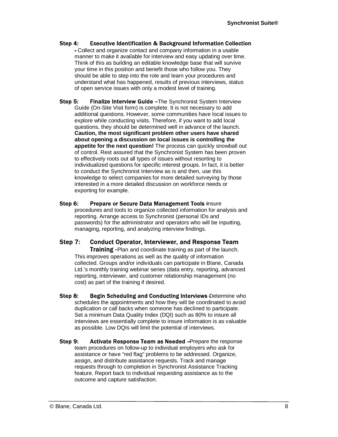#### Step 4: **Executive Identification & Background Information Collection**

Collect and organize contact and company information in a usable manner to make it available for interview and easy updating over time. Think of this as building an editable knowledge base that will survive your time in this position and benefit those who follow you. They should be able to step into the role and learn your procedures and understand what has happened, results of previous interviews, status of open service issues with only a modest level of training.

Step 5: **Finalize Interview Guide - The Synchronist System Interview** Guide (On-Site Visit form) is complete. It is not necessary to add additional questions. However, some communities have local issues to explore while conducting visits. Therefore, if you want to add local questions, they should be determined well in advance of the launch. **Caution, the most significant problem other users have shared about opening a discussion on local issues is controlling the appetite for the next question!** The process can quickly snowball out of control. Rest assured that the Synchronist System has been proven to effectively roots out all types of issues without resorting to individualized questions for specific interest groups. In fact, it is better to conduct the Synchronist Interview as is and then, use this knowledge to select companies for more detailed surveying by those interested in a more detailed discussion on workforce needs or exporting for example.

#### Step 6: Prepare or Secure Data Management Tools Insure procedures and tools to organize collected information for analysis and reporting. Arrange access to Synchronist (personal IDs and passwords) for the administrator and operators who will be inputting, managing, reporting, and analyzing interview findings.

#### Step 7: **Conduct Operator, Interviewer, and Response Team**

**Training - Plan and coordinate training as part of the launch.** This improves operations as well as the quality of information collected. Groups and/or individuals can participate in Blane, Canada Ltd.'s monthly training webinar series (data entry, reporting, advanced reporting, interviewer, and customer relationship management (no cost) as part of the training if desired.

Step 8: **Begin Scheduling and Conducting Interviews** Determine who schedules the appointments and how they will be coordinated to avoid duplication or call backs when someone has declined to participate. Set a minimum Data Quality Index (DQI) such as 80% to insure all interviews are essentially complete to insure information is as valuable as possible. Low DQIs will limit the potential of interviews.

Step 9: Activate Response Team as Needed - Prepare the response team procedures on follow-up to individual employers who ask for assistance or have "red flag" problems to be addressed. Organize, assign, and distribute assistance requests. Track and manage requests through to completion in Synchronist Assistance Tracking feature. Report back to individual requesting assistance as to the outcome and capture satisfaction.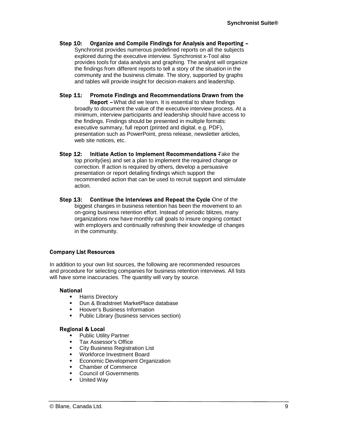#### Step 10: Organize and Compile Findings for Analysis and Reporting -

Synchronist provides numerous predefined reports on all the subjects explored during the executive interview. Synchronist x-Tool also provides tools for data analysis and graphing. The analyst will organize the findings from different reports to tell a story of the situation in the community and the business climate. The story, supported by graphs and tables will provide insight for decision-makers and leadership.

#### **Step 11: Promote Findings and Recommendations Drawn from the**

Report - What did we learn. It is essential to share findings broadly to document the value of the executive interview process. At a minimum, interview participants and leadership should have access to the findings. Findings should be presented in multiple formats: executive summary, full report (printed and digital, e.g. PDF), presentation such as PowerPoint, press release, newsletter articles, web site notices, etc.

- **Step 12:** Initiate Action to Implement Recommendations Take the top priority(ies) and set a plan to implement the required change or correction. If action is required by others, develop a persuasive presentation or report detailing findings which support the recommended action that can be used to recruit support and stimulate action.
- Step  $13$ : **Continue the Interviews and Repeat the Cycle One of the** biggest changes in business retention has been the movement to an on-going business retention effort. Instead of periodic blitzes, many organizations now have monthly call goals to insure ongoing contact with employers and continually refreshing their knowledge of changes in the community.

## **Company List Resources**

In addition to your own list sources, the following are recommended resources and procedure for selecting companies for business retention interviews. All lists will have some inaccuracies. The quantity will vary by source.

## **National**

- **•** Harris Directory
- **Dun & Bradstreet MarketPlace database**
- **•** Hoover's Business Information
- **•** Public Library (business services section)

## **Regional & Local**

- Public Utility Partner
- **Tax Assessor's Office**
- City Business Registration List
- **Workforce Investment Board**
- **Economic Development Organization**
- � Chamber of Commerce
- **Council of Governments**
- **•** United Way